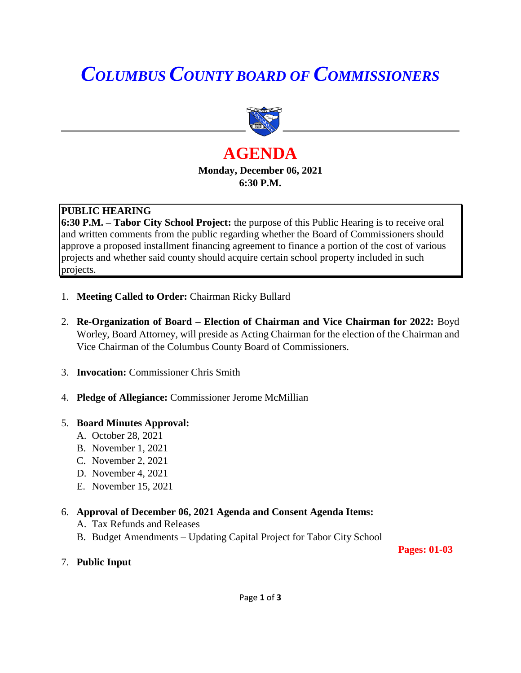# *COLUMBUS COUNTY BOARD OF COMMISSIONERS*



# **AGENDA Monday, December 06, 2021 6:30 P.M.**

### **PUBLIC HEARING**

**6:30 P.M. – Tabor City School Project:** the purpose of this Public Hearing is to receive oral and written comments from the public regarding whether the Board of Commissioners should approve a proposed installment financing agreement to finance a portion of the cost of various projects and whether said county should acquire certain school property included in such projects.

- 1. **Meeting Called to Order:** Chairman Ricky Bullard
- 2. **Re-Organization of Board – Election of Chairman and Vice Chairman for 2022:** Boyd Worley, Board Attorney, will preside as Acting Chairman for the election of the Chairman and Vice Chairman of the Columbus County Board of Commissioners.
- 3. **Invocation:** Commissioner Chris Smith
- 4. **Pledge of Allegiance:** Commissioner Jerome McMillian

#### 5. **Board Minutes Approval:**

- A. October 28, 2021
- B. November 1, 2021
- C. November 2, 2021
- D. November 4, 2021
- E. November 15, 2021

#### 6. **Approval of December 06, 2021 Agenda and Consent Agenda Items:**

- A. Tax Refunds and Releases
- B. Budget Amendments Updating Capital Project for Tabor City School

 **Pages: 01-03** 

7. **Public Input**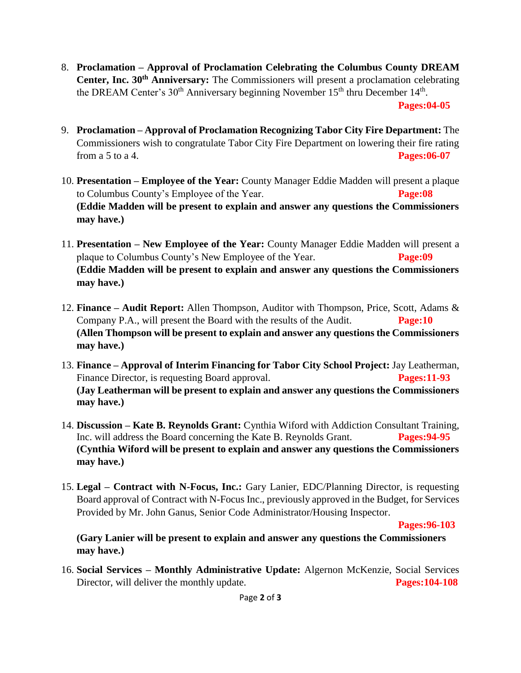8. **Proclamation – Approval of Proclamation Celebrating the Columbus County DREAM Center, Inc. 30th Anniversary:** The Commissioners will present a proclamation celebrating the DREAM Center's  $30<sup>th</sup>$  Anniversary beginning November  $15<sup>th</sup>$  thru December  $14<sup>th</sup>$ .

**Pages:04-05**

- 9. **Proclamation – Approval of Proclamation Recognizing Tabor City Fire Department:** The Commissioners wish to congratulate Tabor City Fire Department on lowering their fire rating from a 5 to a 4. **Pages:06-07**
- 10. **Presentation – Employee of the Year:** County Manager Eddie Madden will present a plaque to Columbus County's Employee of the Year. **Page:08 (Eddie Madden will be present to explain and answer any questions the Commissioners may have.)**
- 11. **Presentation – New Employee of the Year:** County Manager Eddie Madden will present a plaque to Columbus County's New Employee of the Year. **Page:09 (Eddie Madden will be present to explain and answer any questions the Commissioners may have.)**
- 12. **Finance – Audit Report:** Allen Thompson, Auditor with Thompson, Price, Scott, Adams & Company P.A., will present the Board with the results of the Audit. **Page:10 (Allen Thompson will be present to explain and answer any questions the Commissioners may have.)**
- 13. **Finance – Approval of Interim Financing for Tabor City School Project:** Jay Leatherman, Finance Director, is requesting Board approval. **Pages: 11-93 (Jay Leatherman will be present to explain and answer any questions the Commissioners may have.)**
- 14. **Discussion – Kate B. Reynolds Grant:** Cynthia Wiford with Addiction Consultant Training, Inc. will address the Board concerning the Kate B. Reynolds Grant. **Pages:94-95 (Cynthia Wiford will be present to explain and answer any questions the Commissioners may have.)**
- 15. **Legal – Contract with N-Focus, Inc.:** Gary Lanier, EDC/Planning Director, is requesting Board approval of Contract with N-Focus Inc., previously approved in the Budget, for Services Provided by Mr. John Ganus, Senior Code Administrator/Housing Inspector.

**Pages:96-103**

**(Gary Lanier will be present to explain and answer any questions the Commissioners may have.)**

16. **Social Services – Monthly Administrative Update:** Algernon McKenzie, Social Services Director, will deliver the monthly update. **Pages:104-108**